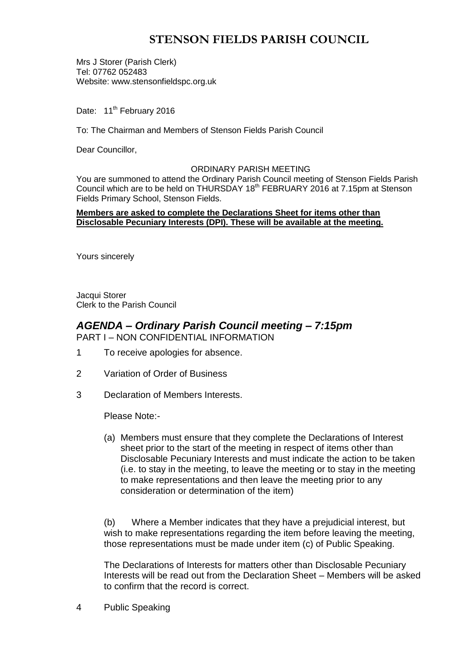# **STENSON FIELDS PARISH COUNCIL**

Mrs J Storer (Parish Clerk) Tel: 07762 052483 Website: www.stensonfieldspc.org.uk

Date: 11<sup>th</sup> February 2016

To: The Chairman and Members of Stenson Fields Parish Council

Dear Councillor,

#### ORDINARY PARISH MEETING

You are summoned to attend the Ordinary Parish Council meeting of Stenson Fields Parish Council which are to be held on THURSDAY 18<sup>th</sup> FEBRUARY 2016 at 7.15pm at Stenson Fields Primary School, Stenson Fields.

#### **Members are asked to complete the Declarations Sheet for items other than Disclosable Pecuniary Interests (DPI). These will be available at the meeting.**

Yours sincerely

Jacqui Storer Clerk to the Parish Council

## *AGENDA – Ordinary Parish Council meeting – 7:15pm* PART I – NON CONFIDENTIAL INFORMATION

- 1 To receive apologies for absence.
- 2 Variation of Order of Business
- 3 Declaration of Members Interests.

Please Note:-

(a) Members must ensure that they complete the Declarations of Interest sheet prior to the start of the meeting in respect of items other than Disclosable Pecuniary Interests and must indicate the action to be taken (i.e. to stay in the meeting, to leave the meeting or to stay in the meeting to make representations and then leave the meeting prior to any consideration or determination of the item)

(b) Where a Member indicates that they have a prejudicial interest, but wish to make representations regarding the item before leaving the meeting, those representations must be made under item (c) of Public Speaking.

The Declarations of Interests for matters other than Disclosable Pecuniary Interests will be read out from the Declaration Sheet – Members will be asked to confirm that the record is correct.

4 Public Speaking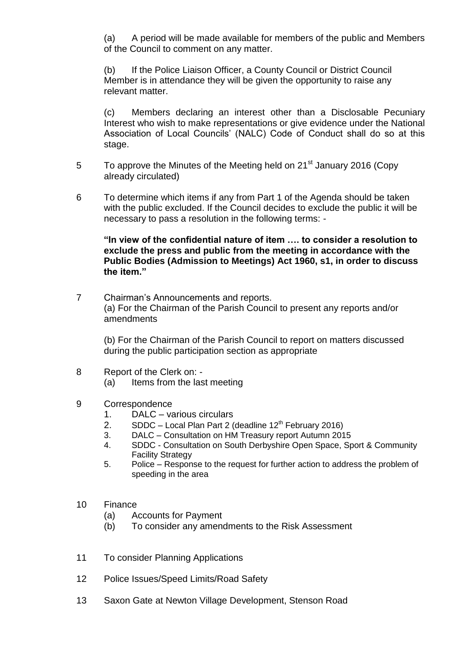(a) A period will be made available for members of the public and Members of the Council to comment on any matter.

(b) If the Police Liaison Officer, a County Council or District Council Member is in attendance they will be given the opportunity to raise any relevant matter.

(c) Members declaring an interest other than a Disclosable Pecuniary Interest who wish to make representations or give evidence under the National Association of Local Councils' (NALC) Code of Conduct shall do so at this stage.

- 5 To approve the Minutes of the Meeting held on 21<sup>st</sup> January 2016 (Copy already circulated)
- 6 To determine which items if any from Part 1 of the Agenda should be taken with the public excluded. If the Council decides to exclude the public it will be necessary to pass a resolution in the following terms: -

**"In view of the confidential nature of item …. to consider a resolution to exclude the press and public from the meeting in accordance with the Public Bodies (Admission to Meetings) Act 1960, s1, in order to discuss the item."** 

7 Chairman's Announcements and reports. (a) For the Chairman of the Parish Council to present any reports and/or amendments

(b) For the Chairman of the Parish Council to report on matters discussed during the public participation section as appropriate

- 8 Report of the Clerk on:
	- (a) Items from the last meeting
- 9 Correspondence
	- 1. DALC various circulars
	- 2. SDDC Local Plan Part 2 (deadline  $12<sup>th</sup>$  February 2016)
	- 3. DALC Consultation on HM Treasury report Autumn 2015
	- 4. SDDC Consultation on South Derbyshire Open Space, Sport & Community Facility Strategy
	- 5. Police Response to the request for further action to address the problem of speeding in the area
- 10 Finance
	- (a) Accounts for Payment
	- (b) To consider any amendments to the Risk Assessment
- 11 To consider Planning Applications
- 12 Police Issues/Speed Limits/Road Safety
- 13 Saxon Gate at Newton Village Development, Stenson Road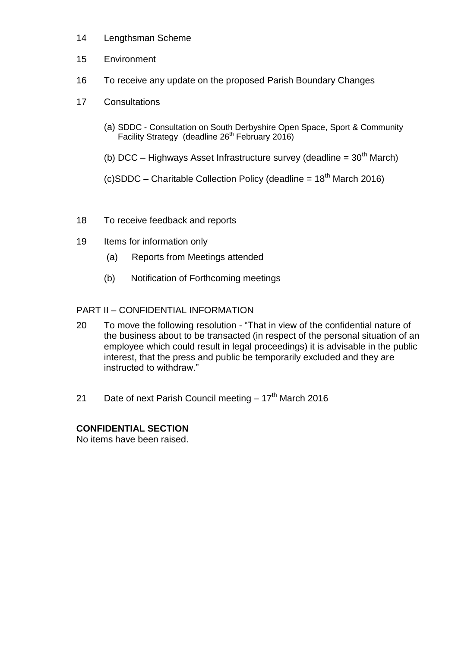- 14 Lengthsman Scheme
- 15 Environment
- 16 To receive any update on the proposed Parish Boundary Changes
- 17 Consultations
	- (a) SDDC Consultation on South Derbyshire Open Space, Sport & Community Facility Strategy (deadline 26<sup>th</sup> February 2016)
	- (b) DCC Highways Asset Infrastructure survey (deadline =  $30<sup>th</sup>$  March)
	- (c)SDDC Charitable Collection Policy (deadline =  $18<sup>th</sup>$  March 2016)
- 18 To receive feedback and reports
- 19 Items for information only
	- (a) Reports from Meetings attended
	- (b) Notification of Forthcoming meetings

# PART II – CONFIDENTIAL INFORMATION

- 20 To move the following resolution "That in view of the confidential nature of the business about to be transacted (in respect of the personal situation of an employee which could result in legal proceedings) it is advisable in the public interest, that the press and public be temporarily excluded and they are instructed to withdraw."
- 21 Date of next Parish Council meeting 17<sup>th</sup> March 2016

# **CONFIDENTIAL SECTION**

No items have been raised.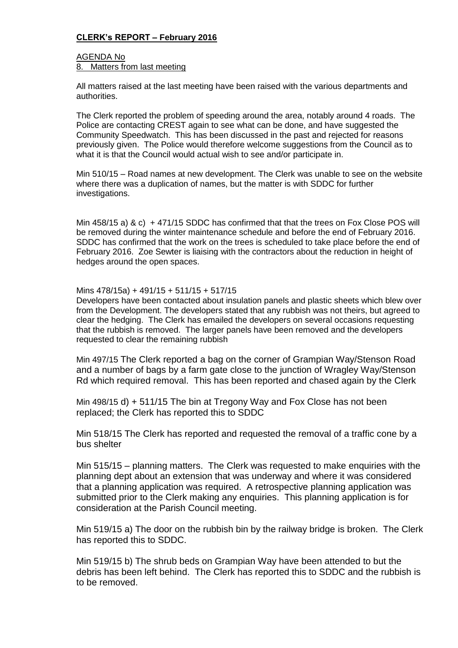## **CLERK's REPORT – February 2016**

#### AGENDA No 8. Matters from last meeting

All matters raised at the last meeting have been raised with the various departments and authorities.

The Clerk reported the problem of speeding around the area, notably around 4 roads. The Police are contacting CREST again to see what can be done, and have suggested the Community Speedwatch. This has been discussed in the past and rejected for reasons previously given. The Police would therefore welcome suggestions from the Council as to what it is that the Council would actual wish to see and/or participate in.

Min 510/15 – Road names at new development. The Clerk was unable to see on the website where there was a duplication of names, but the matter is with SDDC for further investigations.

Min 458/15 a) & c) + 471/15 SDDC has confirmed that that the trees on Fox Close POS will be removed during the winter maintenance schedule and before the end of February 2016. SDDC has confirmed that the work on the trees is scheduled to take place before the end of February 2016. Zoe Sewter is liaising with the contractors about the reduction in height of hedges around the open spaces.

#### Mins 478/15a) + 491/15 + 511/15 + 517/15

Developers have been contacted about insulation panels and plastic sheets which blew over from the Development. The developers stated that any rubbish was not theirs, but agreed to clear the hedging. The Clerk has emailed the developers on several occasions requesting that the rubbish is removed. The larger panels have been removed and the developers requested to clear the remaining rubbish

Min 497/15 The Clerk reported a bag on the corner of Grampian Way/Stenson Road and a number of bags by a farm gate close to the junction of Wragley Way/Stenson Rd which required removal. This has been reported and chased again by the Clerk

Min 498/15 d) + 511/15 The bin at Tregony Way and Fox Close has not been replaced; the Clerk has reported this to SDDC

Min 518/15 The Clerk has reported and requested the removal of a traffic cone by a bus shelter

Min 515/15 – planning matters. The Clerk was requested to make enquiries with the planning dept about an extension that was underway and where it was considered that a planning application was required. A retrospective planning application was submitted prior to the Clerk making any enquiries. This planning application is for consideration at the Parish Council meeting.

Min 519/15 a) The door on the rubbish bin by the railway bridge is broken. The Clerk has reported this to SDDC.

Min 519/15 b) The shrub beds on Grampian Way have been attended to but the debris has been left behind. The Clerk has reported this to SDDC and the rubbish is to be removed.